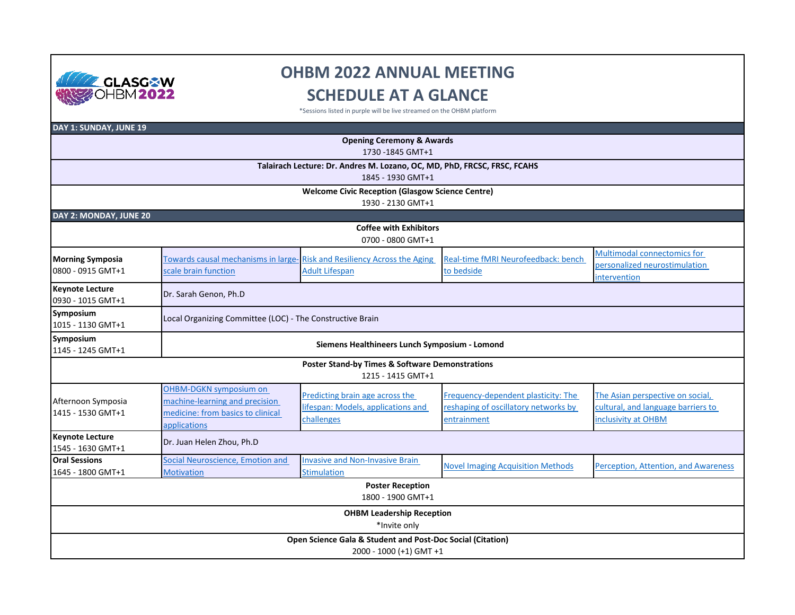

## **OHBM 2022 ANNUAL MEETING SCHEDULE AT A GLANCE**

\*Sessions listed in purple will be live streamed on the OHBM platform

| DAY 1: SUNDAY, JUNE 19                                                                            |                                                           |                                                                                                  |                                                   |                                      |  |  |  |  |
|---------------------------------------------------------------------------------------------------|-----------------------------------------------------------|--------------------------------------------------------------------------------------------------|---------------------------------------------------|--------------------------------------|--|--|--|--|
| <b>Opening Ceremony &amp; Awards</b>                                                              |                                                           |                                                                                                  |                                                   |                                      |  |  |  |  |
| 1730 - 1845 GMT+1                                                                                 |                                                           |                                                                                                  |                                                   |                                      |  |  |  |  |
| Talairach Lecture: Dr. Andres M. Lozano, OC, MD, PhD, FRCSC, FRSC, FCAHS                          |                                                           |                                                                                                  |                                                   |                                      |  |  |  |  |
| 1845 - 1930 GMT+1<br><b>Welcome Civic Reception (Glasgow Science Centre)</b><br>1930 - 2130 GMT+1 |                                                           |                                                                                                  |                                                   |                                      |  |  |  |  |
|                                                                                                   |                                                           |                                                                                                  |                                                   |                                      |  |  |  |  |
| <b>Coffee with Exhibitors</b>                                                                     |                                                           |                                                                                                  |                                                   |                                      |  |  |  |  |
| 0700 - 0800 GMT+1                                                                                 |                                                           |                                                                                                  |                                                   |                                      |  |  |  |  |
|                                                                                                   |                                                           | Towards causal mechanisms in large-Risk and Resiliency Across the Aging<br><b>Adult Lifespan</b> | Real-time fMRI Neurofeedback: bench<br>to bedside | Multimodal connectomics for          |  |  |  |  |
| <b>Morning Symposia</b><br>0800 - 0915 GMT+1                                                      | scale brain function                                      |                                                                                                  |                                                   | personalized neurostimulation        |  |  |  |  |
|                                                                                                   |                                                           |                                                                                                  |                                                   | intervention                         |  |  |  |  |
| <b>Keynote Lecture</b><br>0930 - 1015 GMT+1                                                       | Dr. Sarah Genon, Ph.D                                     |                                                                                                  |                                                   |                                      |  |  |  |  |
| Symposium<br>1015 - 1130 GMT+1                                                                    | Local Organizing Committee (LOC) - The Constructive Brain |                                                                                                  |                                                   |                                      |  |  |  |  |
| Symposium<br>1145 - 1245 GMT+1                                                                    |                                                           | Siemens Healthineers Lunch Symposium - Lomond                                                    |                                                   |                                      |  |  |  |  |
|                                                                                                   |                                                           | <b>Poster Stand-by Times &amp; Software Demonstrations</b>                                       |                                                   |                                      |  |  |  |  |
|                                                                                                   |                                                           | 1215 - 1415 GMT+1                                                                                |                                                   |                                      |  |  |  |  |
|                                                                                                   | <b>OHBM-DGKN symposium on</b>                             | Predicting brain age across the                                                                  | Frequency-dependent plasticity: The               | The Asian perspective on social,     |  |  |  |  |
| Afternoon Symposia                                                                                | machine-learning and precision                            | lifespan: Models, applications and                                                               | reshaping of oscillatory networks by              | cultural, and language barriers to   |  |  |  |  |
| 1415 - 1530 GMT+1                                                                                 | medicine: from basics to clinical                         | challenges                                                                                       | entrainment                                       | inclusivity at OHBM                  |  |  |  |  |
|                                                                                                   | applications                                              |                                                                                                  |                                                   |                                      |  |  |  |  |
| <b>Keynote Lecture</b><br>1545 - 1630 GMT+1                                                       | Dr. Juan Helen Zhou, Ph.D                                 |                                                                                                  |                                                   |                                      |  |  |  |  |
| <b>Oral Sessions</b>                                                                              | Social Neuroscience, Emotion and                          | <b>Invasive and Non-Invasive Brain</b>                                                           | <b>Novel Imaging Acquisition Methods</b>          | Perception, Attention, and Awareness |  |  |  |  |
| 1645 - 1800 GMT+1                                                                                 | <b>Motivation</b>                                         | <b>Stimulation</b>                                                                               |                                                   |                                      |  |  |  |  |
|                                                                                                   |                                                           | <b>Poster Reception</b>                                                                          |                                                   |                                      |  |  |  |  |
| 1800 - 1900 GMT+1                                                                                 |                                                           |                                                                                                  |                                                   |                                      |  |  |  |  |
| <b>OHBM Leadership Reception</b><br>*Invite only                                                  |                                                           |                                                                                                  |                                                   |                                      |  |  |  |  |
| Open Science Gala & Student and Post-Doc Social (Citation)                                        |                                                           |                                                                                                  |                                                   |                                      |  |  |  |  |
| 2000 - 1000 (+1) GMT +1                                                                           |                                                           |                                                                                                  |                                                   |                                      |  |  |  |  |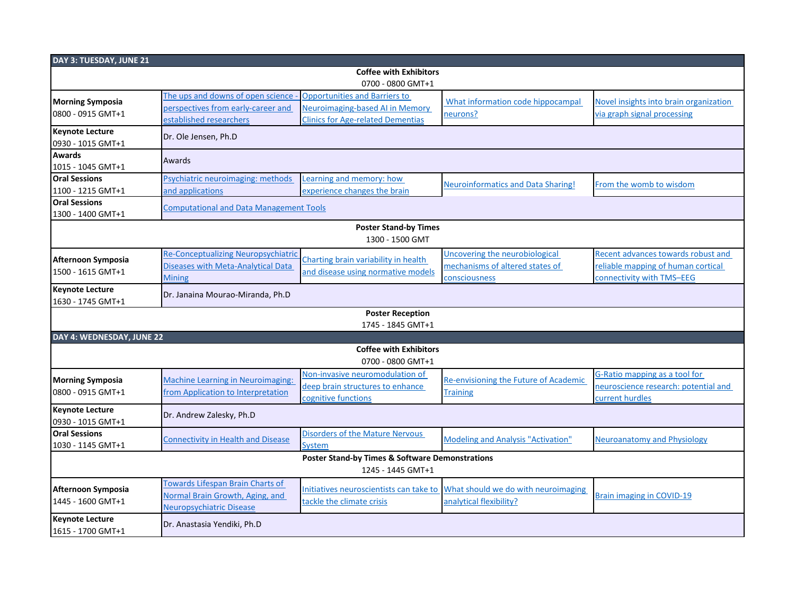| DAY 3: TUESDAY, JUNE 21                      |                                                                                |                                                            |                                                                |                                        |  |  |  |  |
|----------------------------------------------|--------------------------------------------------------------------------------|------------------------------------------------------------|----------------------------------------------------------------|----------------------------------------|--|--|--|--|
| <b>Coffee with Exhibitors</b>                |                                                                                |                                                            |                                                                |                                        |  |  |  |  |
| 0700 - 0800 GMT+1                            |                                                                                |                                                            |                                                                |                                        |  |  |  |  |
| <b>Morning Symposia</b>                      | The ups and downs of open science                                              | <b>Opportunities and Barriers to</b>                       | What information code hippocampal                              | Novel insights into brain organization |  |  |  |  |
| 0800 - 0915 GMT+1                            | perspectives from early-career and                                             | Neuroimaging-based AI in Memory                            | neurons?                                                       | via graph signal processing            |  |  |  |  |
|                                              | established researchers                                                        | <b>Clinics for Age-related Dementias</b>                   |                                                                |                                        |  |  |  |  |
| <b>Keynote Lecture</b>                       | Dr. Ole Jensen, Ph.D                                                           |                                                            |                                                                |                                        |  |  |  |  |
| 0930 - 1015 GMT+1                            |                                                                                |                                                            |                                                                |                                        |  |  |  |  |
| <b>Awards</b>                                | Awards                                                                         |                                                            |                                                                |                                        |  |  |  |  |
| 1015 - 1045 GMT+1                            |                                                                                |                                                            |                                                                |                                        |  |  |  |  |
| <b>Oral Sessions</b>                         | Psychiatric neuroimaging: methods                                              | Learning and memory: how                                   | <b>Neuroinformatics and Data Sharing!</b>                      | From the womb to wisdom                |  |  |  |  |
| 1100 - 1215 GMT+1                            | and applications                                                               | experience changes the brain                               |                                                                |                                        |  |  |  |  |
| <b>Oral Sessions</b>                         | <b>Computational and Data Management Tools</b>                                 |                                                            |                                                                |                                        |  |  |  |  |
| 1300 - 1400 GMT+1                            |                                                                                |                                                            |                                                                |                                        |  |  |  |  |
| <b>Poster Stand-by Times</b>                 |                                                                                |                                                            |                                                                |                                        |  |  |  |  |
|                                              |                                                                                | 1300 - 1500 GMT                                            |                                                                |                                        |  |  |  |  |
|                                              | <b>Re-Conceptualizing Neuropsychiatric</b>                                     |                                                            | Uncovering the neurobiological                                 | Recent advances towards robust and     |  |  |  |  |
| Afternoon Symposia                           | <b>Diseases with Meta-Analytical Data</b>                                      | Charting brain variability in health                       | mechanisms of altered states of                                | reliable mapping of human cortical     |  |  |  |  |
| 1500 - 1615 GMT+1                            | <b>Mining</b>                                                                  | and disease using normative models                         | consciousness                                                  | connectivity with TMS-EEG              |  |  |  |  |
| <b>Keynote Lecture</b>                       | Dr. Janaina Mourao-Miranda, Ph.D                                               |                                                            |                                                                |                                        |  |  |  |  |
| 1630 - 1745 GMT+1                            |                                                                                |                                                            |                                                                |                                        |  |  |  |  |
|                                              |                                                                                | <b>Poster Reception</b>                                    |                                                                |                                        |  |  |  |  |
|                                              |                                                                                | 1745 - 1845 GMT+1                                          |                                                                |                                        |  |  |  |  |
| DAY 4: WEDNESDAY, JUNE 22                    |                                                                                |                                                            |                                                                |                                        |  |  |  |  |
|                                              |                                                                                | <b>Coffee with Exhibitors</b>                              |                                                                |                                        |  |  |  |  |
|                                              |                                                                                | 0700 - 0800 GMT+1                                          |                                                                |                                        |  |  |  |  |
|                                              | <b>Machine Learning in Neuroimaging:</b><br>from Application to Interpretation | Non-invasive neuromodulation of                            | Re-envisioning the Future of Academic<br>Training              | G-Ratio mapping as a tool for          |  |  |  |  |
| <b>Morning Symposia</b><br>0800 - 0915 GMT+1 |                                                                                | deep brain structures to enhance                           |                                                                | neuroscience research: potential and   |  |  |  |  |
|                                              |                                                                                | cognitive functions                                        |                                                                | current hurdles                        |  |  |  |  |
| <b>Keynote Lecture</b>                       | Dr. Andrew Zalesky, Ph.D                                                       |                                                            |                                                                |                                        |  |  |  |  |
| 0930 - 1015 GMT+1                            |                                                                                |                                                            |                                                                |                                        |  |  |  |  |
| <b>Oral Sessions</b>                         | <b>Connectivity in Health and Disease</b>                                      | <b>Disorders of the Mature Nervous</b>                     | <b>Modeling and Analysis "Activation"</b>                      | <b>Neuroanatomy and Physiology</b>     |  |  |  |  |
| 1030 - 1145 GMT+1                            |                                                                                | <b>System</b>                                              |                                                                |                                        |  |  |  |  |
|                                              |                                                                                | <b>Poster Stand-by Times &amp; Software Demonstrations</b> |                                                                |                                        |  |  |  |  |
|                                              |                                                                                | 1245 - 1445 GMT+1                                          |                                                                |                                        |  |  |  |  |
| Afternoon Symposia<br>1445 - 1600 GMT+1      | Towards Lifespan Brain Charts of                                               |                                                            |                                                                |                                        |  |  |  |  |
|                                              | <b>Normal Brain Growth, Aging, and</b>                                         | Initiatives neuroscientists can take to                    | What should we do with neuroimaging<br>analytical flexibility? | <b>Brain imaging in COVID-19</b>       |  |  |  |  |
|                                              | Neuropsychiatric Disease                                                       | tackle the climate crisis                                  |                                                                |                                        |  |  |  |  |
| <b>Keynote Lecture</b>                       |                                                                                |                                                            |                                                                |                                        |  |  |  |  |
| 1615 - 1700 GMT+1                            | Dr. Anastasia Yendiki, Ph.D                                                    |                                                            |                                                                |                                        |  |  |  |  |